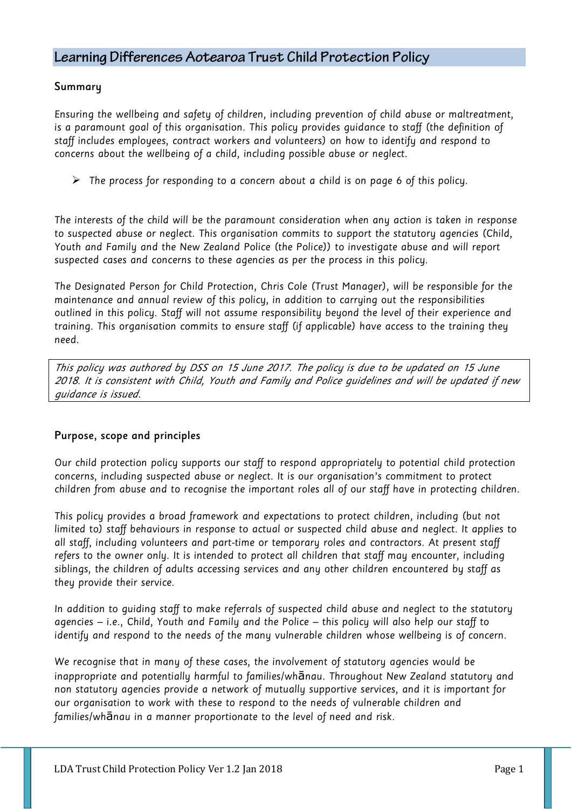# Learning Differences Aotearoa Trust Child Protection Policy

#### Summary

Ensuring the wellbeing and safety of children, including prevention of child abuse or maltreatment, is a paramount goal of this organisation. This policy provides guidance to staff (the definition of staff includes employees, contract workers and volunteers) on how to identify and respond to concerns about the wellbeing of a child, including possible abuse or neglect.

 $\triangleright$  The process for responding to a concern about a child is on page 6 of this policy.

The interests of the child will be the paramount consideration when any action is taken in response to suspected abuse or neglect. This organisation commits to support the statutory agencies (Child, Youth and Family and the New Zealand Police (the Police)) to investigate abuse and will report suspected cases and concerns to these agencies as per the process in this policy.

The Designated Person for Child Protection, Chris Cole (Trust Manager), will be responsible for the maintenance and annual review of this policy, in addition to carrying out the responsibilities outlined in this policy. Staff will not assume responsibility beyond the level of their experience and training. This organisation commits to ensure staff (if applicable) have access to the training they need.

This policy was authored by DSS on 15 June 2017. The policy is due to be updated on 15 June 2018. It is consistent with Child, Youth and Family and Police guidelines and will be updated if new guidance is issued.

## Purpose, scope and principles

Our child protection policy supports our staff to respond appropriately to potential child protection concerns, including suspected abuse or neglect. It is our organisation's commitment to protect children from abuse and to recognise the important roles all of our staff have in protecting children.

This policy provides a broad framework and expectations to protect children, including (but not limited to) staff behaviours in response to actual or suspected child abuse and neglect. It applies to all staff, including volunteers and part-time or temporary roles and contractors. At present staff refers to the owner only. It is intended to protect all children that staff may encounter, including siblings, the children of adults accessing services and any other children encountered by staff as they provide their service.

In addition to guiding staff to make referrals of suspected child abuse and neglect to the statutory agencies – i.e., Child, Youth and Family and the Police – this policy will also help our staff to identify and respond to the needs of the many vulnerable children whose wellbeing is of concern.

We recognise that in many of these cases, the involvement of statutory agencies would be inappropriate and potentially harmful to families/whānau. Throughout New Zealand statutory and non statutory agencies provide a network of mutually supportive services, and it is important for our organisation to work with these to respond to the needs of vulnerable children and families/whānau in a manner proportionate to the level of need and risk.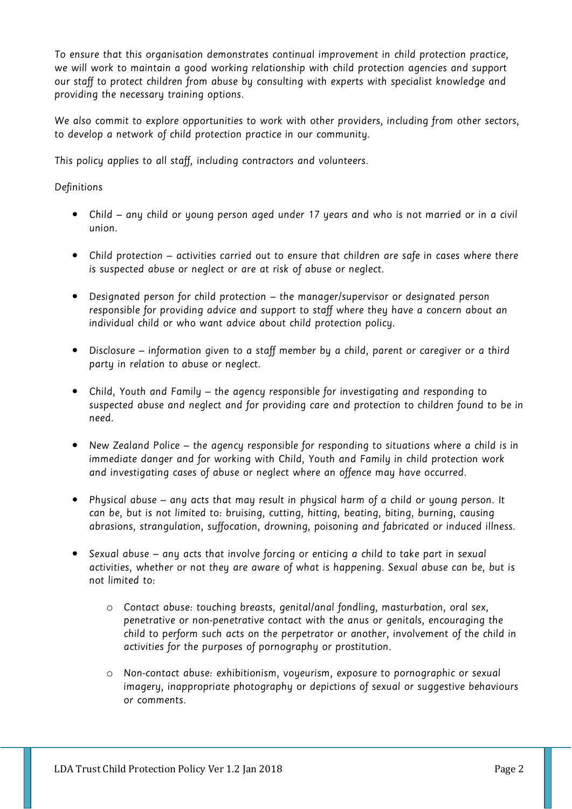To ensure that this organisation demonstrates continual improvement in child protection practice, we will work to maintain a good working relationship with child protection agencies and support our staff to protect children from abuse by consulting with experts with specialist knowledge and providing the necessary training options.

We also commit to explore opportunities to work with other providers, including from other sectors, to develop a network of child protection practice in our community.

This policy applies to all staff, including contractors and volunteers.

#### Definitions

- Child any child or young person aged under 17 years and who is not married or in a civil union.
- Child protection activities carried out to ensure that children are safe in cases where there is suspected abuse or neglect or are at risk of abuse or neglect.
- Designated person for child protection the manager/supervisor or designated person responsible for providing advice and support to staff where they have a concern about an individual child or who want advice about child protection policy.
- Disclosure information given to a staff member by a child, parent or caregiver or a third party in relation to abuse or neglect.
- Child, Youth and Family the agency responsible for investigating and responding to suspected abuse and neglect and for providing care and protection to children found to be in need.
- New Zealand Police the agency responsible for responding to situations where a child is in immediate danger and for working with Child, Youth and Family in child protection work and investigating cases of abuse or neglect where an offence may have occurred.
- Physical abuse any acts that may result in physical harm of a child or young person. It can be, but is not limited to: bruising, cutting, hitting, beating, biting, burning, causing abrasions, strangulation, suffocation, drowning, poisoning and fabricated or induced illness.
- Sexual abuse any acts that involve forcing or enticing a child to take part in sexual activities, whether or not they are aware of what is happening. Sexual abuse can be, but is not limited to:
	- o Contact abuse: touching breasts, genital/anal fondling, masturbation, oral sex, penetrative or non-penetrative contact with the anus or genitals, encouraging the child to perform such acts on the perpetrator or another, involvement of the child in activities for the purposes of pornography or prostitution.
	- o Non-contact abuse: exhibitionism, voyeurism, exposure to pornographic or sexual imagery, inappropriate photography or depictions of sexual or suggestive behaviours or comments.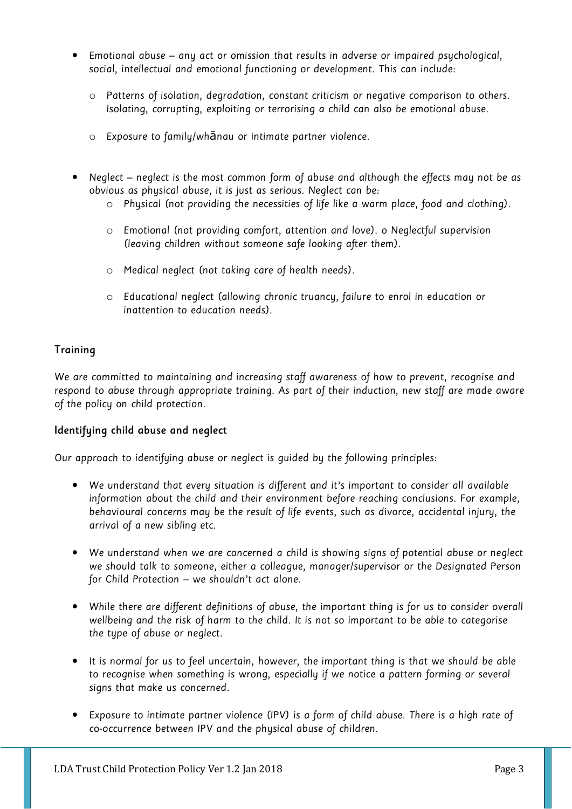- Emotional abuse any act or omission that results in adverse or impaired psychological, social, intellectual and emotional functioning or development. This can include:
	- o Patterns of isolation, degradation, constant criticism or negative comparison to others. Isolating, corrupting, exploiting or terrorising a child can also be emotional abuse.
	- o Exposure to family/whānau or intimate partner violence.
- Neglect neglect is the most common form of abuse and although the effects may not be as obvious as physical abuse, it is just as serious. Neglect can be:
	- o Physical (not providing the necessities of life like a warm place, food and clothing).
	- o Emotional (not providing comfort, attention and love). o Neglectful supervision (leaving children without someone safe looking after them).
	- o Medical neglect (not taking care of health needs).
	- o Educational neglect (allowing chronic truancy, failure to enrol in education or inattention to education needs).

## **Training**

We are committed to maintaining and increasing staff awareness of how to prevent, recognise and respond to abuse through appropriate training. As part of their induction, new staff are made aware of the policy on child protection.

#### Identifying child abuse and neglect

Our approach to identifuing abuse or neglect is guided by the following principles:

- We understand that every situation is different and it's important to consider all available information about the child and their environment before reaching conclusions. For example, behavioural concerns may be the result of life events, such as divorce, accidental injury, the arrival of a new sibling etc.
- We understand when we are concerned a child is showing signs of potential abuse or neglect we should talk to someone, either a colleague, manager/supervisor or the Designated Person for Child Protection – we shouldn't act alone.
- While there are different definitions of abuse, the important thing is for us to consider overall wellbeing and the risk of harm to the child. It is not so important to be able to categorise the type of abuse or neglect.
- It is normal for us to feel uncertain, however, the important thing is that we should be able to recognise when something is wrong, especially if we notice a pattern forming or several signs that make us concerned.
- Exposure to intimate partner violence (IPV) is a form of child abuse. There is a high rate of co-occurrence between IPV and the physical abuse of children.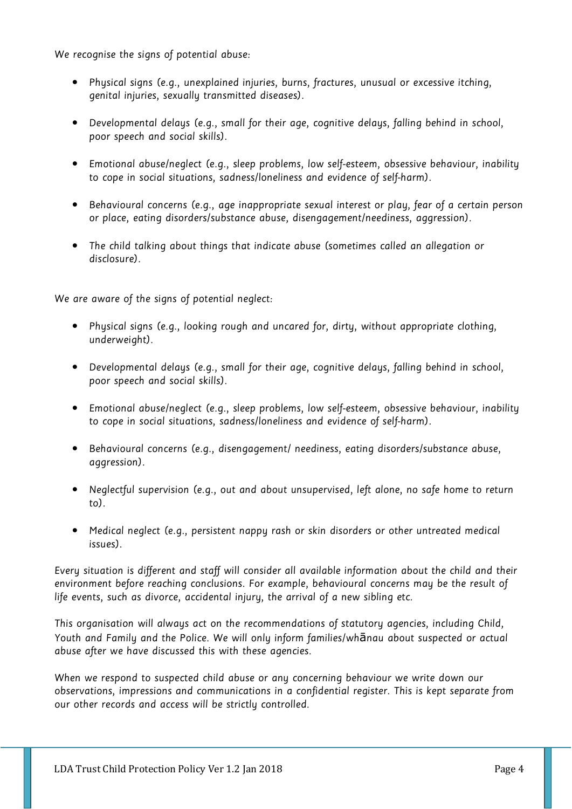We recognise the signs of potential abuse:

- Physical signs (e.g., unexplained injuries, burns, fractures, unusual or excessive itching, genital injuries, sexually transmitted diseases).
- Developmental delays (e.g., small for their age, cognitive delays, falling behind in school, poor speech and social skills).
- Emotional abuse/neglect (e.g., sleep problems, low self-esteem, obsessive behaviour, inability to cope in social situations, sadness/loneliness and evidence of self-harm).
- Behavioural concerns (e.g., age inappropriate sexual interest or play, fear of a certain person or place, eating disorders/substance abuse, disengagement/neediness, aggression).
- The child talking about things that indicate abuse (sometimes called an allegation or disclosure).

We are aware of the signs of potential neglect:

- Physical signs (e.g., looking rough and uncared for, dirty, without appropriate clothing, underweight).
- Developmental delays (e.g., small for their age, cognitive delays, falling behind in school, poor speech and social skills).
- Emotional abuse/neglect (e.g., sleep problems, low self-esteem, obsessive behaviour, inability to cope in social situations, sadness/loneliness and evidence of self-harm).
- Behavioural concerns (e.g., disengagement/ neediness, eating disorders/substance abuse, aggression).
- Neglectful supervision (e.g., out and about unsupervised, left alone, no safe home to return to).
- Medical neglect (e.g., persistent nappy rash or skin disorders or other untreated medical issues).

Every situation is different and staff will consider all available information about the child and their environment before reaching conclusions. For example, behavioural concerns may be the result of life events, such as divorce, accidental injury, the arrival of a new sibling etc.

This organisation will always act on the recommendations of statutory agencies, including Child, Youth and Family and the Police. We will only inform families/whānau about suspected or actual abuse after we have discussed this with these agencies.

When we respond to suspected child abuse or any concerning behaviour we write down our observations, impressions and communications in a confidential register. This is kept separate from our other records and access will be strictly controlled.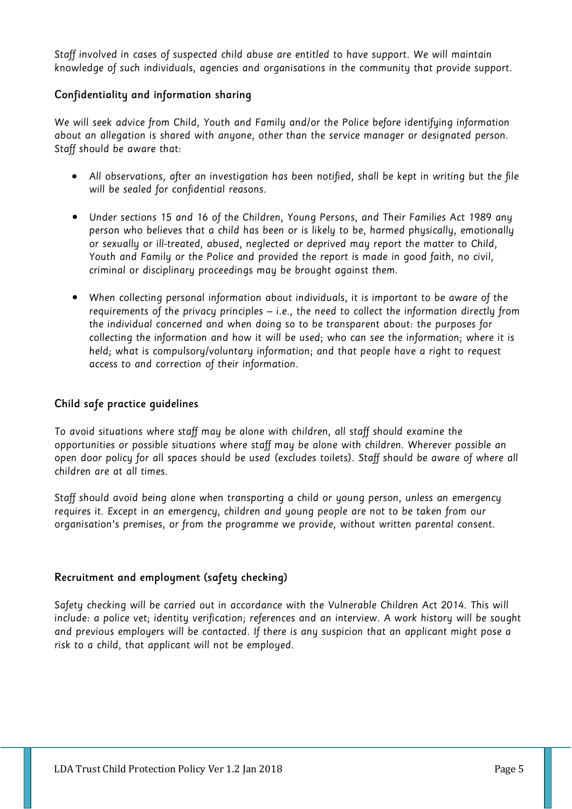Staff involved in cases of suspected child abuse are entitled to have support. We will maintain knowledge of such individuals, agencies and organisations in the community that provide support.

## Confidentiality and information sharing

We will seek advice from Child, Youth and Family and/or the Police before identifuing information about an allegation is shared with anyone, other than the service manager or designated person. Staff should be aware that:

- All observations, after an investigation has been notified, shall be kept in writing but the file will be sealed for confidential reasons.
- Under sections 15 and 16 of the Children, Young Persons, and Their Families Act 1989 any person who believes that a child has been or is likely to be, harmed physically, emotionally or sexually or ill-treated, abused, neglected or deprived may report the matter to Child, Youth and Family or the Police and provided the report is made in good faith, no civil, criminal or disciplinary proceedings may be brought against them.
- When collecting personal information about individuals, it is important to be aware of the requirements of the privacy principles – i.e., the need to collect the information directly from the individual concerned and when doing so to be transparent about: the purposes for collecting the information and how it will be used; who can see the information; where it is held; what is compulsory/voluntary information; and that people have a right to request access to and correction of their information.

## Child safe practice guidelines

To avoid situations where staff may be alone with children, all staff should examine the opportunities or possible situations where staff may be alone with children. Wherever possible an open door policy for all spaces should be used (excludes toilets). Staff should be aware of where all children are at all times.

Staff should avoid being alone when transporting a child or young person, unless an emergency requires it. Except in an emergency, children and young people are not to be taken from our organisation's premises, or from the programme we provide, without written parental consent.

## Recruitment and employment (safety checking)

Safety checking will be carried out in accordance with the Vulnerable Children Act 2014. This will include: a police vet; identity verification; references and an interview. A work history will be sought and previous employers will be contacted. If there is any suspicion that an applicant might pose a risk to a child, that applicant will not be employed.